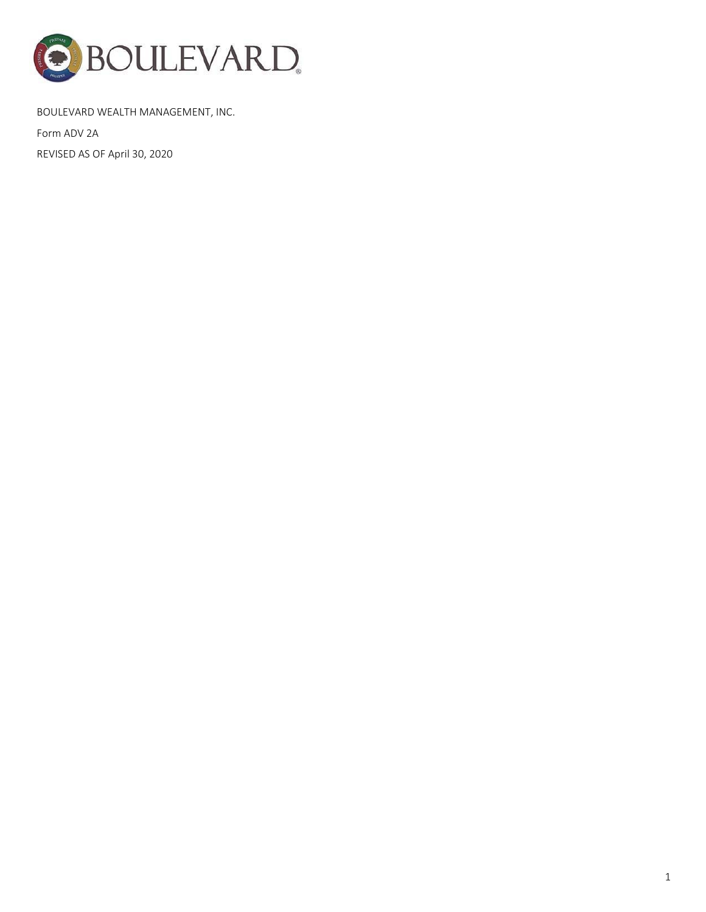

# BOULEVARD WEALTH MANAGEMENT, INC.

Form ADV 2A

REVISED AS OF April 30, 2020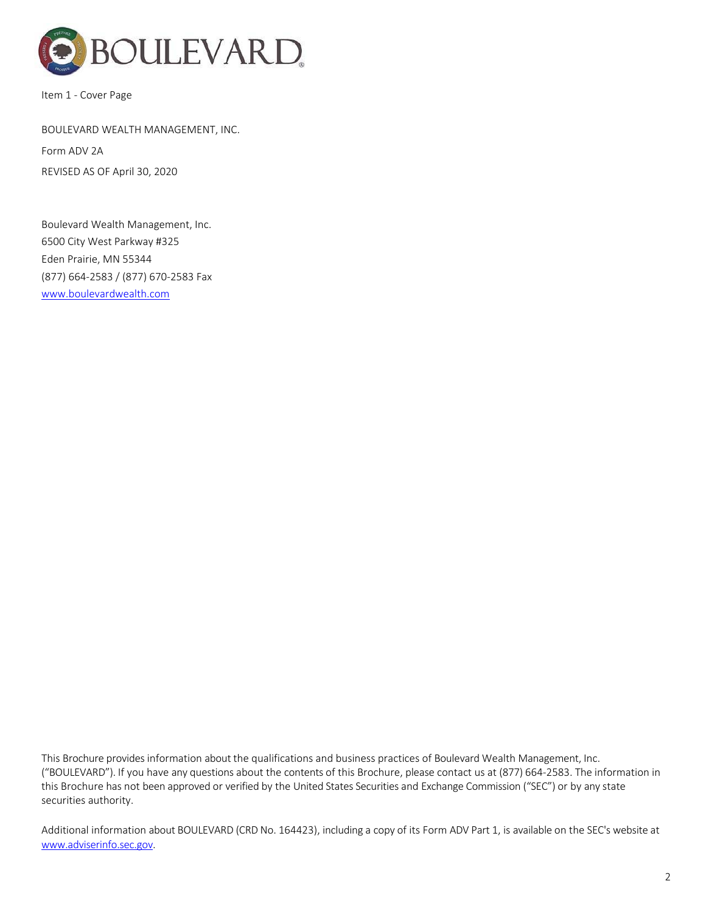

Item 1 ‐ Cover Page

# BOULEVARD WEALTH MANAGEMENT, INC.

Form ADV 2A REVISED AS OF April 30, 2020

Boulevard Wealth Management, Inc. 6500 City West Parkway #325 Eden Prairie, MN 55344 (877) 664‐2583 / (877) 670‐2583 Fax www.boulevardwealth.com

This Brochure provides information about the qualifications and business practices of Boulevard Wealth Management, Inc. ("BOULEVARD"). If you have any questions about the contents of this Brochure, please contact us at (877) 664‐2583. The information in this Brochure has not been approved or verified by the United States Securities and Exchange Commission ("SEC") or by any state securities authority.

Additional information about BOULEVARD (CRD No. 164423), including a copy of its Form ADV Part 1, is available on the SEC's website at www.adviserinfo.sec.gov.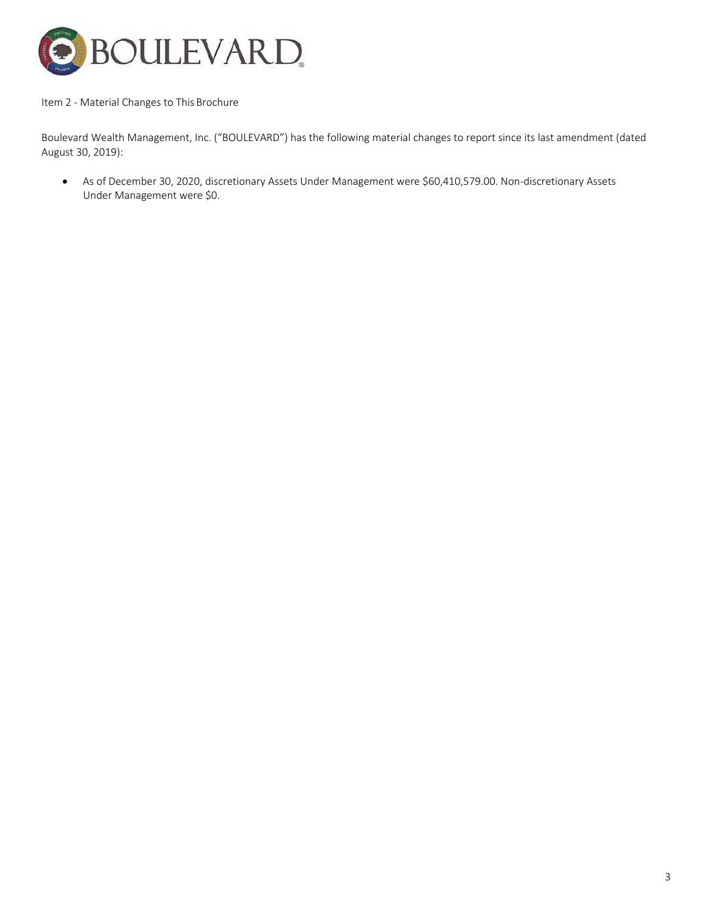

### Item 2 - Material Changes to This Brochure

Boulevard Wealth Management, Inc. ("BOULEVARD") has the following material changes to report since its last amendment (dated August 30, 2019):

● As of December 30, 2020, discretionary Assets Under Management were \$60,410,579.00. Non-discretionary Assets Under Management were \$0.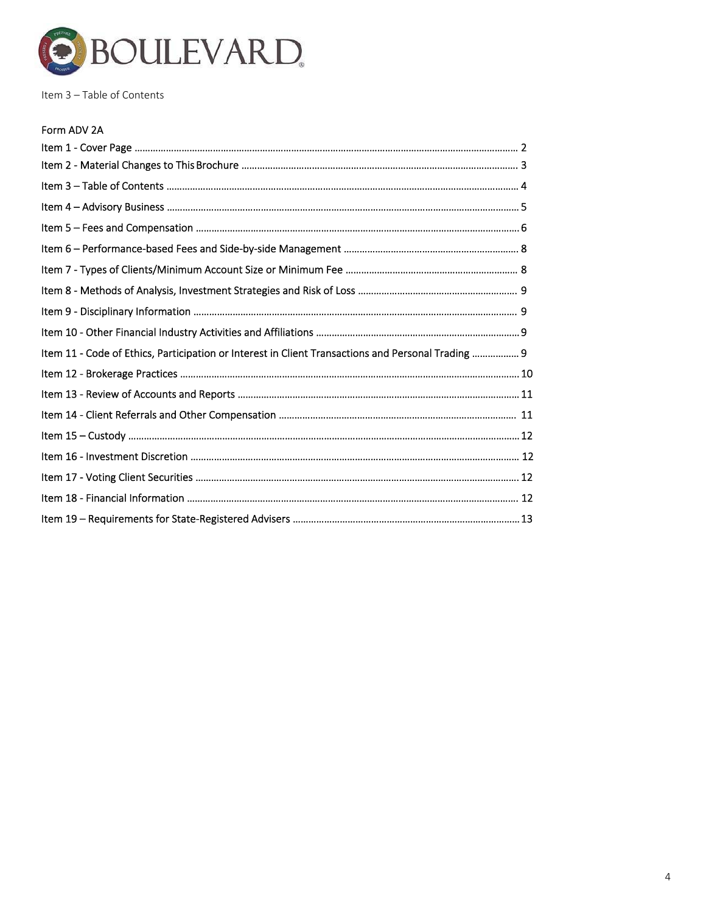

Item 3 – Table of Contents

# Form ADV 2A

| Item 11 - Code of Ethics, Participation or Interest in Client Transactions and Personal Trading  9 |  |
|----------------------------------------------------------------------------------------------------|--|
|                                                                                                    |  |
|                                                                                                    |  |
|                                                                                                    |  |
|                                                                                                    |  |
|                                                                                                    |  |
|                                                                                                    |  |
|                                                                                                    |  |
|                                                                                                    |  |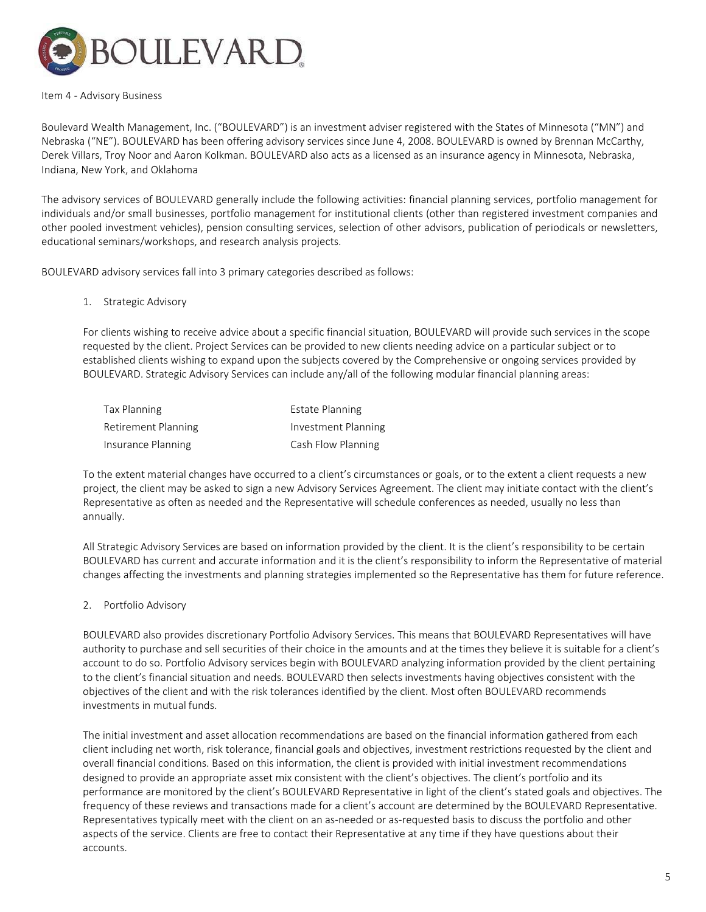

#### Item 4 ‐ Advisory Business

Boulevard Wealth Management, Inc. ("BOULEVARD") is an investment adviser registered with the States of Minnesota ("MN") and Nebraska ("NE"). BOULEVARD has been offering advisory services since June 4, 2008. BOULEVARD is owned by Brennan McCarthy, Derek Villars, Troy Noor and Aaron Kolkman. BOULEVARD also acts as a licensed as an insurance agency in Minnesota, Nebraska, Indiana, New York, and Oklahoma

The advisory services of BOULEVARD generally include the following activities: financial planning services, portfolio management for individuals and/or small businesses, portfolio management for institutional clients (other than registered investment companies and other pooled investment vehicles), pension consulting services, selection of other advisors, publication of periodicals or newsletters, educational seminars/workshops, and research analysis projects.

BOULEVARD advisory services fall into 3 primary categories described as follows:

### 1. Strategic Advisory

For clients wishing to receive advice about a specific financial situation, BOULEVARD will provide such services in the scope requested by the client. Project Services can be provided to new clients needing advice on a particular subject or to established clients wishing to expand upon the subjects covered by the Comprehensive or ongoing services provided by BOULEVARD. Strategic Advisory Services can include any/all of the following modular financial planning areas:

| Tax Planning        | <b>Estate Planning</b>     |
|---------------------|----------------------------|
| Retirement Planning | <b>Investment Planning</b> |
| Insurance Planning  | Cash Flow Planning         |

To the extent material changes have occurred to a client's circumstances or goals, or to the extent a client requests a new project, the client may be asked to sign a new Advisory Services Agreement. The client may initiate contact with the client's Representative as often as needed and the Representative will schedule conferences as needed, usually no less than annually.

All Strategic Advisory Services are based on information provided by the client. It is the client's responsibility to be certain BOULEVARD has current and accurate information and it is the client's responsibility to inform the Representative of material changes affecting the investments and planning strategies implemented so the Representative has them for future reference.

## 2. Portfolio Advisory

BOULEVARD also provides discretionary Portfolio Advisory Services. This means that BOULEVARD Representatives will have authority to purchase and sell securities of their choice in the amounts and at the times they believe it is suitable for a client's account to do so. Portfolio Advisory services begin with BOULEVARD analyzing information provided by the client pertaining to the client's financial situation and needs. BOULEVARD then selects investments having objectives consistent with the objectives of the client and with the risk tolerances identified by the client. Most often BOULEVARD recommends investments in mutual funds.

The initial investment and asset allocation recommendations are based on the financial information gathered from each client including net worth, risk tolerance, financial goals and objectives, investment restrictions requested by the client and overall financial conditions. Based on this information, the client is provided with initial investment recommendations designed to provide an appropriate asset mix consistent with the client's objectives. The client's portfolio and its performance are monitored by the client's BOULEVARD Representative in light of the client's stated goals and objectives. The frequency of these reviews and transactions made for a client's account are determined by the BOULEVARD Representative. Representatives typically meet with the client on an as-needed or as-requested basis to discuss the portfolio and other aspects of the service. Clients are free to contact their Representative at any time if they have questions about their accounts.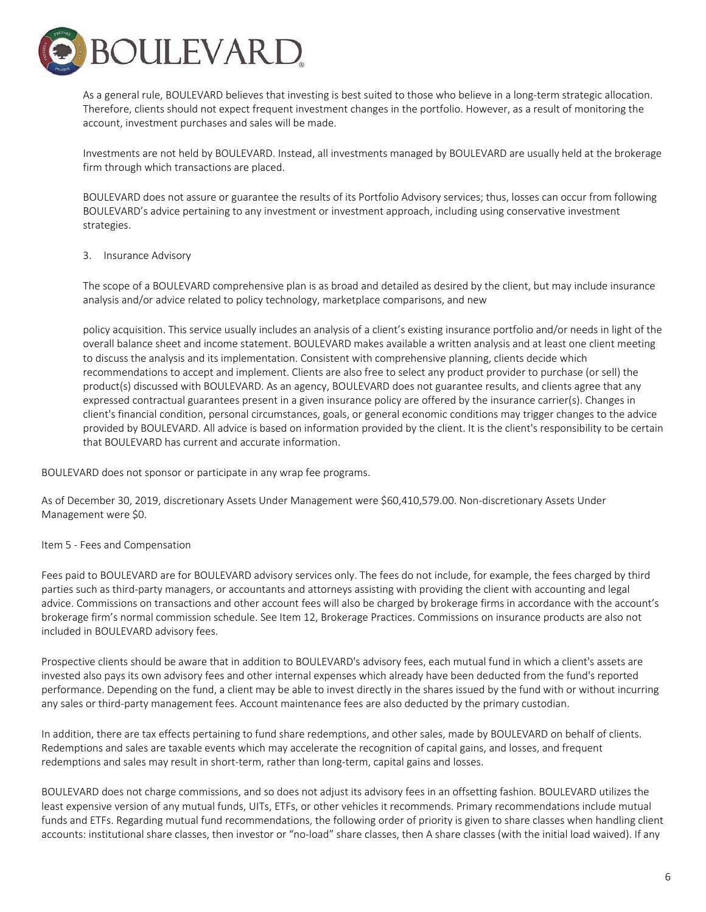

As a general rule, BOULEVARD believes that investing is best suited to those who believe in a long-term strategic allocation. Therefore, clients should not expect frequent investment changes in the portfolio. However, as a result of monitoring the account, investment purchases and sales will be made.

Investments are not held by BOULEVARD. Instead, all investments managed by BOULEVARD are usually held at the brokerage firm through which transactions are placed.

BOULEVARD does not assure or guarantee the results of its Portfolio Advisory services; thus, losses can occur from following BOULEVARD's advice pertaining to any investment or investment approach, including using conservative investment strategies.

### 3. Insurance Advisory

The scope of a BOULEVARD comprehensive plan is as broad and detailed as desired by the client, but may include insurance analysis and/or advice related to policy technology, marketplace comparisons, and new

policy acquisition. This service usually includes an analysis of a client's existing insurance portfolio and/or needs in light of the overall balance sheet and income statement. BOULEVARD makes available a written analysis and at least one client meeting to discuss the analysis and its implementation. Consistent with comprehensive planning, clients decide which recommendations to accept and implement. Clients are also free to select any product provider to purchase (or sell) the product(s) discussed with BOULEVARD. As an agency, BOULEVARD does not guarantee results, and clients agree that any expressed contractual guarantees present in a given insurance policy are offered by the insurance carrier(s). Changes in client's financial condition, personal circumstances, goals, or general economic conditions may trigger changes to the advice provided by BOULEVARD. All advice is based on information provided by the client. It is the client's responsibility to be certain that BOULEVARD has current and accurate information.

BOULEVARD does not sponsor or participate in any wrap fee programs.

As of December 30, 2019, discretionary Assets Under Management were \$60,410,579.00. Non‐discretionary Assets Under Management were \$0.

## Item 5 ‐ Fees and Compensation

Fees paid to BOULEVARD are for BOULEVARD advisory services only. The fees do not include, for example, the fees charged by third parties such as third‐party managers, or accountants and attorneys assisting with providing the client with accounting and legal advice. Commissions on transactions and other account fees will also be charged by brokerage firms in accordance with the account's brokerage firm's normal commission schedule. See Item 12, Brokerage Practices. Commissions on insurance products are also not included in BOULEVARD advisory fees.

Prospective clients should be aware that in addition to BOULEVARD's advisory fees, each mutual fund in which a client's assets are invested also pays its own advisory fees and other internal expenses which already have been deducted from the fund's reported performance. Depending on the fund, a client may be able to invest directly in the shares issued by the fund with or without incurring any sales or third‐party management fees. Account maintenance fees are also deducted by the primary custodian.

In addition, there are tax effects pertaining to fund share redemptions, and other sales, made by BOULEVARD on behalf of clients. Redemptions and sales are taxable events which may accelerate the recognition of capital gains, and losses, and frequent redemptions and sales may result in short-term, rather than long-term, capital gains and losses.

BOULEVARD does not charge commissions, and so does not adjust its advisory fees in an offsetting fashion. BOULEVARD utilizes the least expensive version of any mutual funds, UITs, ETFs, or other vehicles it recommends. Primary recommendations include mutual funds and ETFs. Regarding mutual fund recommendations, the following order of priority is given to share classes when handling client accounts: institutional share classes, then investor or "no‐load" share classes, then A share classes (with the initial load waived). If any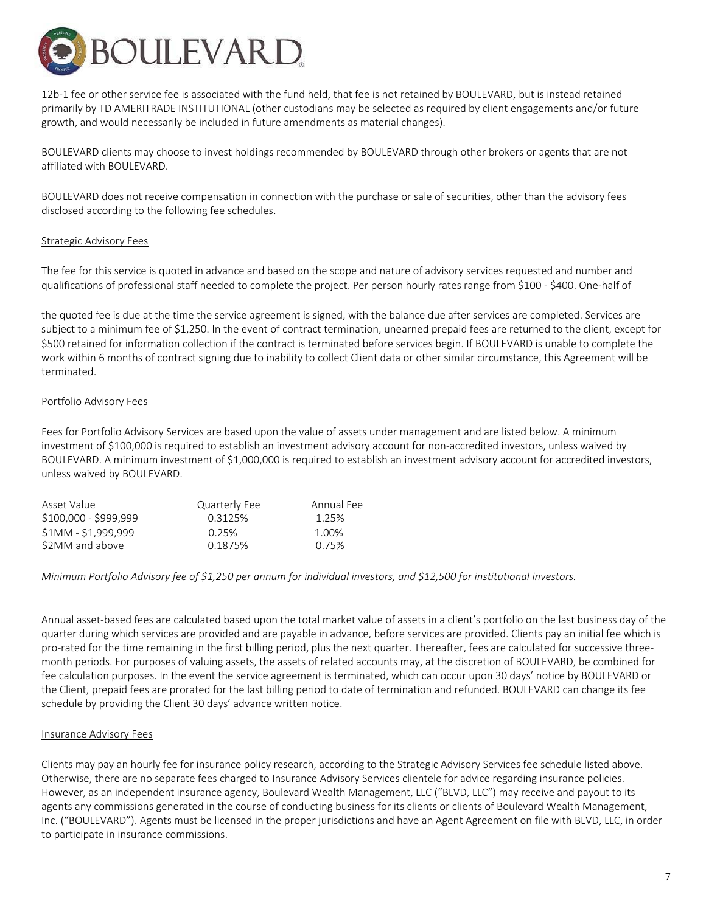

12b‐1 fee or other service fee is associated with the fund held, that fee is not retained by BOULEVARD, but is instead retained primarily by TD AMERITRADE INSTITUTIONAL (other custodians may be selected as required by client engagements and/or future growth, and would necessarily be included in future amendments as material changes).

BOULEVARD clients may choose to invest holdings recommended by BOULEVARD through other brokers or agents that are not affiliated with BOULEVARD.

BOULEVARD does not receive compensation in connection with the purchase or sale of securities, other than the advisory fees disclosed according to the following fee schedules.

### Strategic Advisory Fees

The fee for this service is quoted in advance and based on the scope and nature of advisory services requested and number and qualifications of professional staff needed to complete the project. Per person hourly rates range from \$100 ‐ \$400. One‐half of

the quoted fee is due at the time the service agreement is signed, with the balance due after services are completed. Services are subject to a minimum fee of \$1,250. In the event of contract termination, unearned prepaid fees are returned to the client, except for \$500 retained for information collection if the contract is terminated before services begin. If BOULEVARD is unable to complete the work within 6 months of contract signing due to inability to collect Client data or other similar circumstance, this Agreement will be terminated.

### Portfolio Advisory Fees

Fees for Portfolio Advisory Services are based upon the value of assets under management and are listed below. A minimum investment of \$100,000 is required to establish an investment advisory account for non‐accredited investors, unless waived by BOULEVARD. A minimum investment of \$1,000,000 is required to establish an investment advisory account for accredited investors, unless waived by BOULEVARD.

| Asset Value           | Quarterly Fee | Annual Fee |
|-----------------------|---------------|------------|
| \$100,000 - \$999,999 | 0.3125%       | 1.25%      |
| \$1MM - \$1,999,999   | 0.25%         | 1.00%      |
| \$2MM and above       | 0.1875%       | 0.75%      |
|                       |               |            |

Minimum Portfolio Advisory fee of \$1,250 per annum for individual investors, and \$12,500 for institutional investors.

Annual asset‐based fees are calculated based upon the total market value of assets in a client's portfolio on the last business day of the quarter during which services are provided and are payable in advance, before services are provided. Clients pay an initial fee which is pro-rated for the time remaining in the first billing period, plus the next quarter. Thereafter, fees are calculated for successive threemonth periods. For purposes of valuing assets, the assets of related accounts may, at the discretion of BOULEVARD, be combined for fee calculation purposes. In the event the service agreement is terminated, which can occur upon 30 days' notice by BOULEVARD or the Client, prepaid fees are prorated for the last billing period to date of termination and refunded. BOULEVARD can change its fee schedule by providing the Client 30 days' advance written notice.

## Insurance Advisory Fees

Clients may pay an hourly fee for insurance policy research, according to the Strategic Advisory Services fee schedule listed above. Otherwise, there are no separate fees charged to Insurance Advisory Services clientele for advice regarding insurance policies. However, as an independent insurance agency, Boulevard Wealth Management, LLC ("BLVD, LLC") may receive and payout to its agents any commissions generated in the course of conducting business for its clients or clients of Boulevard Wealth Management, Inc. ("BOULEVARD"). Agents must be licensed in the proper jurisdictions and have an Agent Agreement on file with BLVD, LLC, in order to participate in insurance commissions.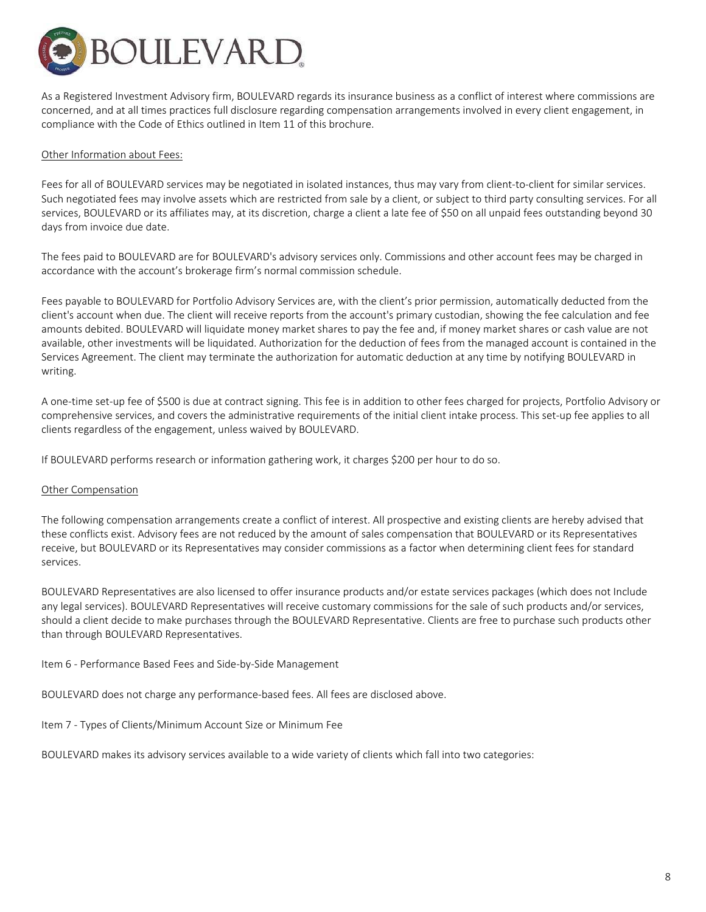

As a Registered Investment Advisory firm, BOULEVARD regards its insurance business as a conflict of interest where commissions are concerned, and at all times practices full disclosure regarding compensation arrangements involved in every client engagement, in compliance with the Code of Ethics outlined in Item 11 of this brochure.

### Other Information about Fees:

Fees for all of BOULEVARD services may be negotiated in isolated instances, thus may vary from client-to-client for similar services. Such negotiated fees may involve assets which are restricted from sale by a client, or subject to third party consulting services. For all services, BOULEVARD or its affiliates may, at its discretion, charge a client a late fee of \$50 on all unpaid fees outstanding beyond 30 days from invoice due date.

The fees paid to BOULEVARD are for BOULEVARD's advisory services only. Commissions and other account fees may be charged in accordance with the account's brokerage firm's normal commission schedule.

Fees payable to BOULEVARD for Portfolio Advisory Services are, with the client's prior permission, automatically deducted from the client's account when due. The client will receive reports from the account's primary custodian, showing the fee calculation and fee amounts debited. BOULEVARD will liquidate money market shares to pay the fee and, if money market shares or cash value are not available, other investments will be liquidated. Authorization for the deduction of fees from the managed account is contained in the Services Agreement. The client may terminate the authorization for automatic deduction at any time by notifying BOULEVARD in writing.

A one‐time set‐up fee of \$500 is due at contract signing. This fee is in addition to other fees charged for projects, Portfolio Advisory or comprehensive services, and covers the administrative requirements of the initial client intake process. This set-up fee applies to all clients regardless of the engagement, unless waived by BOULEVARD.

If BOULEVARD performs research or information gathering work, it charges \$200 per hour to do so.

#### Other Compensation

The following compensation arrangements create a conflict of interest. All prospective and existing clients are hereby advised that these conflicts exist. Advisory fees are not reduced by the amount of sales compensation that BOULEVARD or its Representatives receive, but BOULEVARD or its Representatives may consider commissions as a factor when determining client fees for standard services.

BOULEVARD Representatives are also licensed to offer insurance products and/or estate services packages (which does not Include any legal services). BOULEVARD Representatives will receive customary commissions for the sale of such products and/or services, should a client decide to make purchases through the BOULEVARD Representative. Clients are free to purchase such products other than through BOULEVARD Representatives.

Item 6 ‐ Performance Based Fees and Side‐by‐Side Management

BOULEVARD does not charge any performance‐based fees. All fees are disclosed above.

Item 7 ‐ Types of Clients/Minimum Account Size or Minimum Fee

BOULEVARD makes its advisory services available to a wide variety of clients which fall into two categories: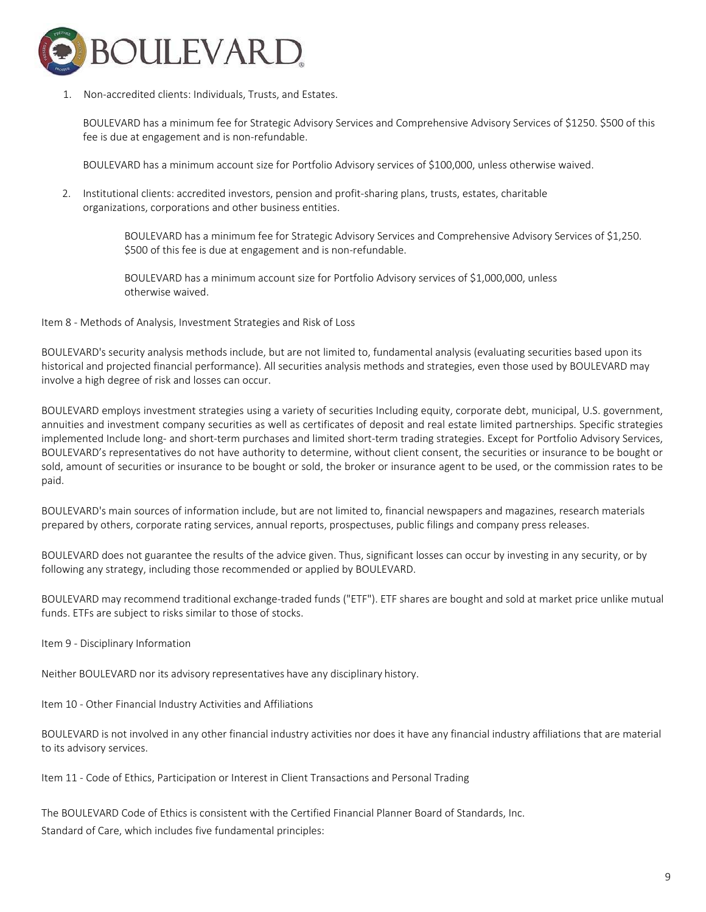

1. Non‐accredited clients: Individuals, Trusts, and Estates.

BOULEVARD has a minimum fee for Strategic Advisory Services and Comprehensive Advisory Services of \$1250. \$500 of this fee is due at engagement and is non-refundable.

BOULEVARD has a minimum account size for Portfolio Advisory services of \$100,000, unless otherwise waived.

2. Institutional clients: accredited investors, pension and profit‐sharing plans, trusts, estates, charitable organizations, corporations and other business entities.

> BOULEVARD has a minimum fee for Strategic Advisory Services and Comprehensive Advisory Services of \$1,250. \$500 of this fee is due at engagement and is non-refundable.

BOULEVARD has a minimum account size for Portfolio Advisory services of \$1,000,000, unless otherwise waived.

Item 8 ‐ Methods of Analysis, Investment Strategies and Risk of Loss

BOULEVARD's security analysis methods include, but are not limited to, fundamental analysis (evaluating securities based upon its historical and projected financial performance). All securities analysis methods and strategies, even those used by BOULEVARD may involve a high degree of risk and losses can occur.

BOULEVARD employs investment strategies using a variety of securities Including equity, corporate debt, municipal, U.S. government, annuities and investment company securities as well as certificates of deposit and real estate limited partnerships. Specific strategies implemented Include long- and short-term purchases and limited short-term trading strategies. Except for Portfolio Advisory Services, BOULEVARD's representatives do not have authority to determine, without client consent, the securities or insurance to be bought or sold, amount of securities or insurance to be bought or sold, the broker or insurance agent to be used, or the commission rates to be paid.

BOULEVARD's main sources of information include, but are not limited to, financial newspapers and magazines, research materials prepared by others, corporate rating services, annual reports, prospectuses, public filings and company press releases.

BOULEVARD does not guarantee the results of the advice given. Thus, significant losses can occur by investing in any security, or by following any strategy, including those recommended or applied by BOULEVARD.

BOULEVARD may recommend traditional exchange‐traded funds ("ETF"). ETF shares are bought and sold at market price unlike mutual funds. ETFs are subject to risks similar to those of stocks.

Item 9 ‐ Disciplinary Information

Neither BOULEVARD nor its advisory representatives have any disciplinary history.

Item 10 ‐ Other Financial Industry Activities and Affiliations

BOULEVARD is not involved in any other financial industry activities nor does it have any financial industry affiliations that are material to its advisory services.

Item 11 - Code of Ethics, Participation or Interest in Client Transactions and Personal Trading

The BOULEVARD Code of Ethics is consistent with the Certified Financial Planner Board of Standards, Inc. Standard of Care, which includes five fundamental principles: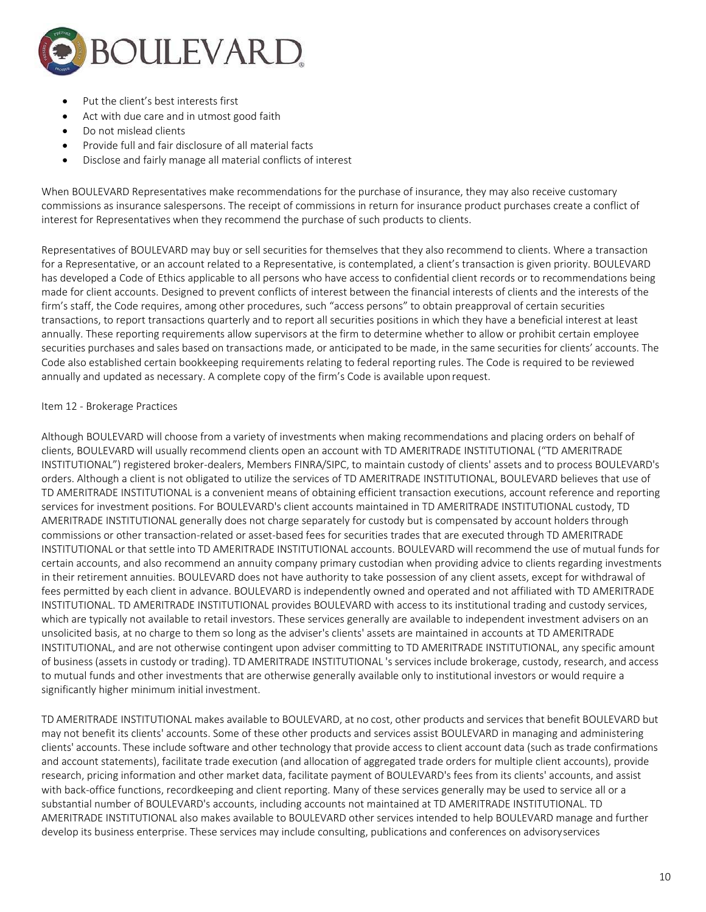

- Put the client's best interests first
- Act with due care and in utmost good faith
- Do not mislead clients
- Provide full and fair disclosure of all material facts
- Disclose and fairly manage all material conflicts of interest

When BOULEVARD Representatives make recommendations for the purchase of insurance, they may also receive customary commissions as insurance salespersons. The receipt of commissions in return for insurance product purchases create a conflict of interest for Representatives when they recommend the purchase of such products to clients.

Representatives of BOULEVARD may buy or sell securities for themselves that they also recommend to clients. Where a transaction for a Representative, or an account related to a Representative, is contemplated, a client's transaction is given priority. BOULEVARD has developed a Code of Ethics applicable to all persons who have access to confidential client records or to recommendations being made for client accounts. Designed to prevent conflicts of interest between the financial interests of clients and the interests of the firm's staff, the Code requires, among other procedures, such "access persons" to obtain preapproval of certain securities transactions, to report transactions quarterly and to report all securities positions in which they have a beneficial interest at least annually. These reporting requirements allow supervisors at the firm to determine whether to allow or prohibit certain employee securities purchases and sales based on transactions made, or anticipated to be made, in the same securities for clients' accounts. The Code also established certain bookkeeping requirements relating to federal reporting rules. The Code is required to be reviewed annually and updated as necessary. A complete copy of the firm's Code is available uponrequest.

### Item 12 ‐ Brokerage Practices

Although BOULEVARD will choose from a variety of investments when making recommendations and placing orders on behalf of clients, BOULEVARD will usually recommend clients open an account with TD AMERITRADE INSTITUTIONAL ("TD AMERITRADE INSTITUTIONAL") registered broker‐dealers, Members FINRA/SIPC, to maintain custody of clients' assets and to process BOULEVARD's orders. Although a client is not obligated to utilize the services of TD AMERITRADE INSTITUTIONAL, BOULEVARD believes that use of TD AMERITRADE INSTITUTIONAL is a convenient means of obtaining efficient transaction executions, account reference and reporting services for investment positions. For BOULEVARD's client accounts maintained in TD AMERITRADE INSTITUTIONAL custody, TD AMERITRADE INSTITUTIONAL generally does not charge separately for custody but is compensated by account holders through commissions or other transaction-related or asset-based fees for securities trades that are executed through TD AMERITRADE INSTITUTIONAL or that settle into TD AMERITRADE INSTITUTIONAL accounts. BOULEVARD will recommend the use of mutual funds for certain accounts, and also recommend an annuity company primary custodian when providing advice to clients regarding investments in their retirement annuities. BOULEVARD does not have authority to take possession of any client assets, except for withdrawal of fees permitted by each client in advance. BOULEVARD is independently owned and operated and not affiliated with TD AMERITRADE INSTITUTIONAL. TD AMERITRADE INSTITUTIONAL provides BOULEVARD with access to its institutional trading and custody services, which are typically not available to retail investors. These services generally are available to independent investment advisers on an unsolicited basis, at no charge to them so long as the adviser's clients' assets are maintained in accounts at TD AMERITRADE INSTITUTIONAL, and are not otherwise contingent upon adviser committing to TD AMERITRADE INSTITUTIONAL, any specific amount of business (assets in custody or trading). TD AMERITRADE INSTITUTIONAL 's services include brokerage, custody, research, and access to mutual funds and other investments that are otherwise generally available only to institutional investors or would require a significantly higher minimum initial investment.

TD AMERITRADE INSTITUTIONAL makes available to BOULEVARD, at no cost, other products and services that benefit BOULEVARD but may not benefit its clients' accounts. Some of these other products and services assist BOULEVARD in managing and administering clients' accounts. These include software and other technology that provide access to client account data (such as trade confirmations and account statements), facilitate trade execution (and allocation of aggregated trade orders for multiple client accounts), provide research, pricing information and other market data, facilitate payment of BOULEVARD's fees from its clients' accounts, and assist with back‐office functions, recordkeeping and client reporting. Many of these services generally may be used to service all or a substantial number of BOULEVARD's accounts, including accounts not maintained at TD AMERITRADE INSTITUTIONAL. TD AMERITRADE INSTITUTIONAL also makes available to BOULEVARD other services intended to help BOULEVARD manage and further develop its business enterprise. These services may include consulting, publications and conferences on advisoryservices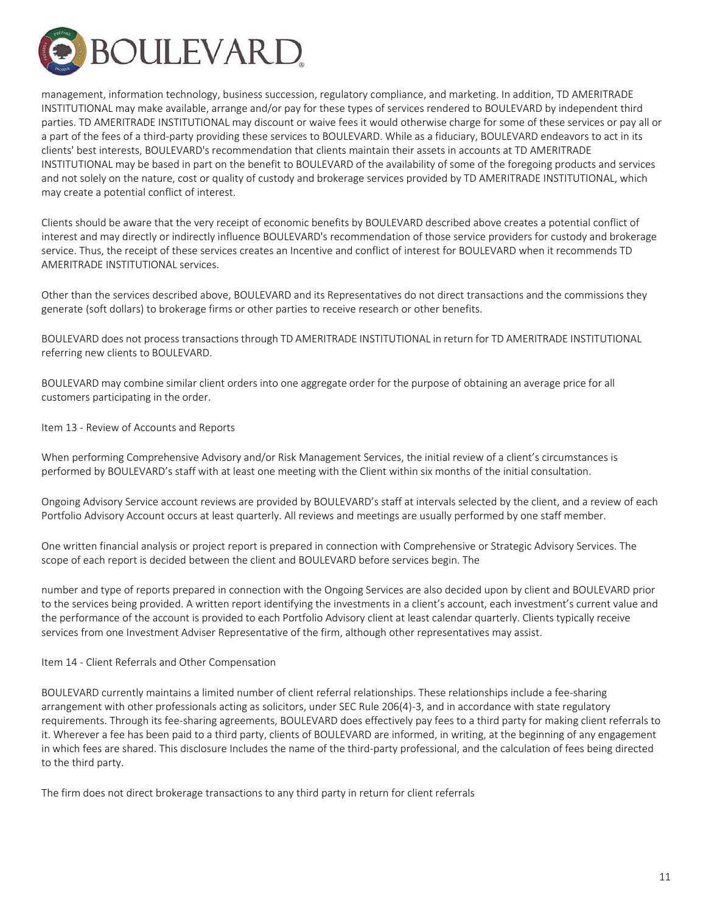

management, information technology, business succession, regulatory compliance, and marketing. In addition, TD AMERITRADE INSTITUTIONAL may make available, arrange and/or pay for these types of services rendered to BOULEVARD by independent third parties. TD AMERITRADE INSTITUTIONAL may discount or waive fees it would otherwise charge for some of these services or pay all or a part of the fees of a third‐party providing these services to BOULEVARD. While as a fiduciary, BOULEVARD endeavors to act in its clients' best interests, BOULEVARD's recommendation that clients maintain their assets in accounts at TD AMERITRADE INSTITUTIONAL may be based in part on the benefit to BOULEVARD of the availability of some of the foregoing products and services and not solely on the nature, cost or quality of custody and brokerage services provided by TD AMERITRADE INSTITUTIONAL, which may create a potential conflict of interest.

Clients should be aware that the very receipt of economic benefits by BOULEVARD described above creates a potential conflict of interest and may directly or indirectly influence BOULEVARD's recommendation of those service providers for custody and brokerage service. Thus, the receipt of these services creates an Incentive and conflict of interest for BOULEVARD when it recommends TD AMERITRADE INSTITUTIONAL services.

Other than the services described above, BOULEVARD and its Representatives do not direct transactions and the commissions they generate (soft dollars) to brokerage firms or other parties to receive research or other benefits.

BOULEVARD does not process transactions through TD AMERITRADE INSTITUTIONAL in return for TD AMERITRADE INSTITUTIONAL referring new clients to BOULEVARD.

BOULEVARD may combine similar client orders into one aggregate order for the purpose of obtaining an average price for all customers participating in the order.

Item 13 ‐ Review of Accounts and Reports

When performing Comprehensive Advisory and/or Risk Management Services, the initial review of a client's circumstances is performed by BOULEVARD's staff with at least one meeting with the Client within six months of the initial consultation.

Ongoing Advisory Service account reviews are provided by BOULEVARD's staff at intervals selected by the client, and a review of each Portfolio Advisory Account occurs at least quarterly. All reviews and meetings are usually performed by one staff member.

One written financial analysis or project report is prepared in connection with Comprehensive or Strategic Advisory Services. The scope of each report is decided between the client and BOULEVARD before services begin. The

number and type of reports prepared in connection with the Ongoing Services are also decided upon by client and BOULEVARD prior to the services being provided. A written report identifying the investments in a client's account, each investment's current value and the performance of the account is provided to each Portfolio Advisory client at least calendar quarterly. Clients typically receive services from one Investment Adviser Representative of the firm, although other representatives may assist.

## Item 14 ‐ Client Referrals and Other Compensation

BOULEVARD currently maintains a limited number of client referral relationships. These relationships include a fee‐sharing arrangement with other professionals acting as solicitors, under SEC Rule 206(4)‐3, and in accordance with state regulatory requirements. Through its fee‐sharing agreements, BOULEVARD does effectively pay fees to a third party for making client referrals to it. Wherever a fee has been paid to a third party, clients of BOULEVARD are informed, in writing, at the beginning of any engagement in which fees are shared. This disclosure Includes the name of the third‐party professional, and the calculation of fees being directed to the third party.

The firm does not direct brokerage transactions to any third party in return for client referrals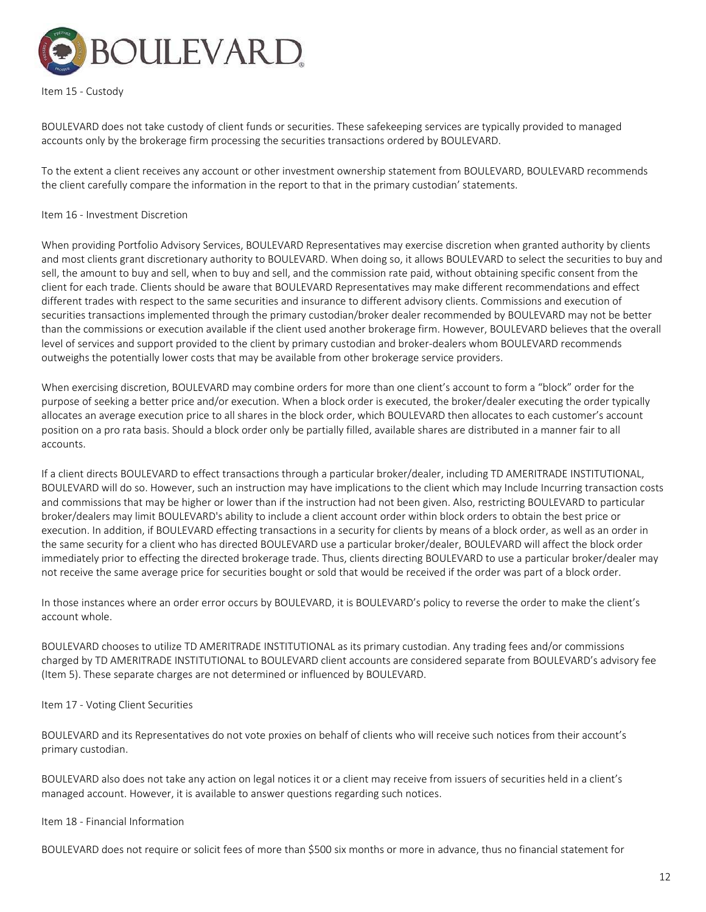

Item 15 ‐ Custody

BOULEVARD does not take custody of client funds or securities. These safekeeping services are typically provided to managed accounts only by the brokerage firm processing the securities transactions ordered by BOULEVARD.

To the extent a client receives any account or other investment ownership statement from BOULEVARD, BOULEVARD recommends the client carefully compare the information in the report to that in the primary custodian' statements.

#### Item 16 ‐ Investment Discretion

When providing Portfolio Advisory Services, BOULEVARD Representatives may exercise discretion when granted authority by clients and most clients grant discretionary authority to BOULEVARD. When doing so, it allows BOULEVARD to select the securities to buy and sell, the amount to buy and sell, when to buy and sell, and the commission rate paid, without obtaining specific consent from the client for each trade. Clients should be aware that BOULEVARD Representatives may make different recommendations and effect different trades with respect to the same securities and insurance to different advisory clients. Commissions and execution of securities transactions implemented through the primary custodian/broker dealer recommended by BOULEVARD may not be better than the commissions or execution available if the client used another brokerage firm. However, BOULEVARD believes that the overall level of services and support provided to the client by primary custodian and broker-dealers whom BOULEVARD recommends outweighs the potentially lower costs that may be available from other brokerage service providers.

When exercising discretion, BOULEVARD may combine orders for more than one client's account to form a "block" order for the purpose of seeking a better price and/or execution. When a block order is executed, the broker/dealer executing the order typically allocates an average execution price to all shares in the block order, which BOULEVARD then allocates to each customer's account position on a pro rata basis. Should a block order only be partially filled, available shares are distributed in a manner fair to all accounts.

If a client directs BOULEVARD to effect transactions through a particular broker/dealer, including TD AMERITRADE INSTITUTIONAL, BOULEVARD will do so. However, such an instruction may have implications to the client which may Include Incurring transaction costs and commissions that may be higher or lower than if the instruction had not been given. Also, restricting BOULEVARD to particular broker/dealers may limit BOULEVARD's ability to include a client account order within block orders to obtain the best price or execution. In addition, if BOULEVARD effecting transactions in a security for clients by means of a block order, as well as an order in the same security for a client who has directed BOULEVARD use a particular broker/dealer, BOULEVARD will affect the block order immediately prior to effecting the directed brokerage trade. Thus, clients directing BOULEVARD to use a particular broker/dealer may not receive the same average price for securities bought or sold that would be received if the order was part of a block order.

In those instances where an order error occurs by BOULEVARD, it is BOULEVARD's policy to reverse the order to make the client's account whole.

BOULEVARD chooses to utilize TD AMERITRADE INSTITUTIONAL as its primary custodian. Any trading fees and/or commissions charged by TD AMERITRADE INSTITUTIONAL to BOULEVARD client accounts are considered separate from BOULEVARD's advisory fee (Item 5). These separate charges are not determined or influenced by BOULEVARD.

Item 17 ‐ Voting Client Securities

BOULEVARD and its Representatives do not vote proxies on behalf of clients who will receive such notices from their account's primary custodian.

BOULEVARD also does not take any action on legal notices it or a client may receive from issuers of securities held in a client's managed account. However, it is available to answer questions regarding such notices.

Item 18 ‐ Financial Information

BOULEVARD does not require or solicit fees of more than \$500 six months or more in advance, thus no financial statement for